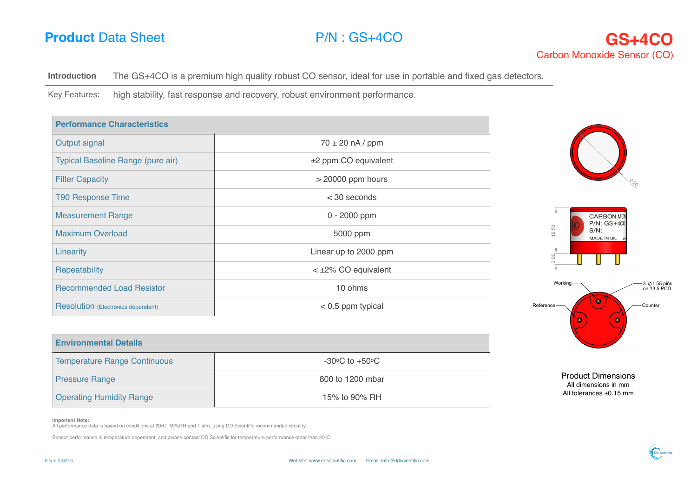

**Introduction** The GS+4CO is a premium high quality robust CO sensor, ideal for use in portable and fixed gas detectors.

Key Features: high stability, fast response and recovery, robust environment performance.

| <b>Performance Characteristics</b>        |                              |  |
|-------------------------------------------|------------------------------|--|
| Output signal                             | $70 \pm 20$ nA / ppm         |  |
| Typical Baseline Range (pure air)         | $±2$ ppm CO equivalent       |  |
| <b>Filter Capacity</b>                    | $>$ 20000 ppm hours          |  |
| <b>T90 Response Time</b>                  | $<$ 30 seconds               |  |
| <b>Measurement Range</b>                  | $0 - 2000$ ppm               |  |
| <b>Maximum Overload</b>                   | 5000 ppm                     |  |
| Linearity                                 | Linear up to 2000 ppm        |  |
| <b>Repeatability</b>                      | $\lt$ $\pm$ 2% CO equivalent |  |
| <b>Recommended Load Resistor</b>          | 10 ohms                      |  |
| <b>Resolution</b> (Electronics dependent) | $<$ 0.5 ppm typical          |  |



| <b>Environmental Details</b>        |                                              |
|-------------------------------------|----------------------------------------------|
| <b>Temperature Range Continuous</b> | -30 $\rm{^{\circ}C}$ to +50 $\rm{^{\circ}C}$ |
| <b>Pressure Range</b>               | 800 to 1200 mbar                             |
| <b>Operating Humidity Range</b>     | 15% to 90% RH                                |



DD Scientil

**Important Note:**

All performance data is based on conditions at 20oC, 50%RH and 1 atm, using DD Scientific recommended circuitry.

Sensor performance is temperature dependent, and please contact DD Scientific for temperature performance other than 20oC.